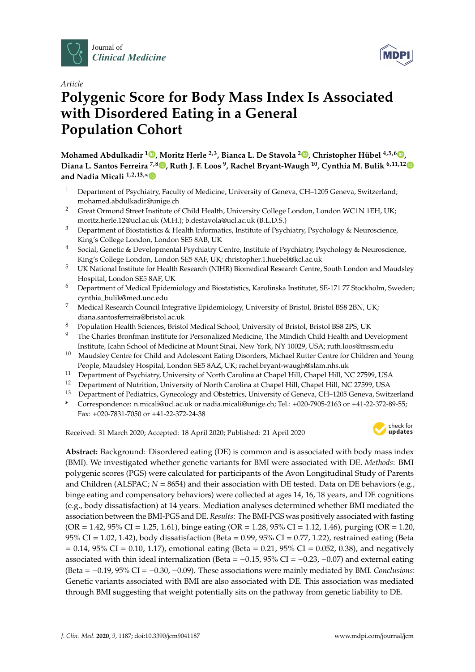



# **Polygenic Score for Body Mass Index Is Associated with Disordered Eating in a General Population Cohort**

**Mohamed Abdulkadir <sup>1</sup> [,](https://orcid.org/0000-0002-6080-257X) Moritz Herle 2,3, Bianca L. De Stavola <sup>2</sup> [,](https://orcid.org/0000-0001-7853-0528) Christopher Hübel 4,5,6 [,](https://orcid.org/0000-0002-1267-8287) Diana L. Santos Ferreira 7,8 [,](https://orcid.org/0000-0001-8923-0117) Ruth J. F. Loos <sup>9</sup> , Rachel Bryant-Waugh <sup>10</sup>, Cynthia M. Bulik 6,11,1[2](https://orcid.org/0000-0001-7772-3264) and Nadia Micali 1,2,13,[\\*](https://orcid.org/0000-0001-5571-2273)**

- <sup>1</sup> Department of Psychiatry, Faculty of Medicine, University of Geneva, CH-1205 Geneva, Switzerland; mohamed.abdulkadir@unige.ch
- <sup>2</sup> Great Ormond Street Institute of Child Health, University College London, London WC1N 1EH, UK; moritz.herle.12@ucl.ac.uk (M.H.); b.destavola@ucl.ac.uk (B.L.D.S.)
- <sup>3</sup> Department of Biostatistics & Health Informatics, Institute of Psychiatry, Psychology & Neuroscience, King's College London, London SE5 8AB, UK
- <sup>4</sup> Social, Genetic & Developmental Psychiatry Centre, Institute of Psychiatry, Psychology & Neuroscience, King's College London, London SE5 8AF, UK; christopher.1.huebel@kcl.ac.uk
- <sup>5</sup> UK National Institute for Health Research (NIHR) Biomedical Research Centre, South London and Maudsley Hospital, London SE5 8AF, UK
- <sup>6</sup> Department of Medical Epidemiology and Biostatistics, Karolinska Institutet, SE-171 77 Stockholm, Sweden; cynthia\_bulik@med.unc.edu
- <sup>7</sup> Medical Research Council Integrative Epidemiology, University of Bristol, Bristol BS8 2BN, UK; diana.santosferreira@bristol.ac.uk
- 8 Population Health Sciences, Bristol Medical School, University of Bristol, Bristol BS8 2PS, UK<br>9 The Charles Branfroen Institute for Branco alized Medicine, The Mindich Child Health and De
- <sup>9</sup> The Charles Bronfman Institute for Personalized Medicine, The Mindich Child Health and Development Institute, Icahn School of Medicine at Mount Sinai, New York, NY 10029, USA; ruth.loos@mssm.edu
- <sup>10</sup> Maudsley Centre for Child and Adolescent Eating Disorders, Michael Rutter Centre for Children and Young People, Maudsley Hospital, London SE5 8AZ, UK; rachel.bryant-waugh@slam.nhs.uk
- <sup>11</sup> Department of Psychiatry, University of North Carolina at Chapel Hill, Chapel Hill, NC 27599, USA<br><sup>12</sup> Department of Nutrition University of North Carolina at Chapel Hill, Chapel Hill, NC 27500, USA
- <sup>12</sup> Department of Nutrition, University of North Carolina at Chapel Hill, Chapel Hill, NC 27599, USA
- <sup>13</sup> Department of Pediatrics, Gynecology and Obstetrics, University of Geneva, CH-1205 Geneva, Switzerland
- **\*** Correspondence: n.micali@ucl.ac.uk or nadia.micali@unige.ch; Tel.: +020-7905-2163 or +41-22-372-89-55; Fax: +020-7831-7050 or +41-22-372-24-38

Received: 31 March 2020; Accepted: 18 April 2020; Published: 21 April 2020



**Abstract:** Background: Disordered eating (DE) is common and is associated with body mass index (BMI). We investigated whether genetic variants for BMI were associated with DE. *Methods*: BMI polygenic scores (PGS) were calculated for participants of the Avon Longitudinal Study of Parents and Children (ALSPAC;  $N = 8654$ ) and their association with DE tested. Data on DE behaviors (e.g., binge eating and compensatory behaviors) were collected at ages 14, 16, 18 years, and DE cognitions (e.g., body dissatisfaction) at 14 years. Mediation analyses determined whether BMI mediated the association between the BMI-PGS and DE. *Results*: The BMI-PGS was positively associated with fasting  $(OR = 1.42, 95\% \text{ CI} = 1.25, 1.61)$ , binge eating  $(OR = 1.28, 95\% \text{ CI} = 1.12, 1.46)$ , purging  $(OR = 1.20, 1.42, 1.46)$ 95% CI = 1.02, 1.42), body dissatisfaction (Beta = 0.99, 95% CI = 0.77, 1.22), restrained eating (Beta  $= 0.14$ , 95% CI = 0.10, 1.17), emotional eating (Beta = 0.21, 95% CI = 0.052, 0.38), and negatively associated with thin ideal internalization (Beta =  $-0.15$ , 95% CI =  $-0.23$ ,  $-0.07$ ) and external eating (Beta = −0.19, 95% CI = −0.30, −0.09). These associations were mainly mediated by BMI. *Conclusions*: Genetic variants associated with BMI are also associated with DE. This association was mediated through BMI suggesting that weight potentially sits on the pathway from genetic liability to DE.

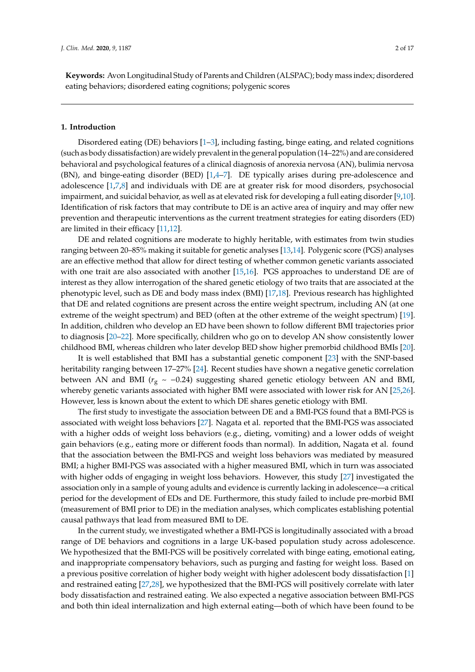**Keywords:** Avon Longitudinal Study of Parents and Children (ALSPAC); body mass index; disordered eating behaviors; disordered eating cognitions; polygenic scores

# **1. Introduction**

Disordered eating (DE) behaviors [\[1](#page-13-0)[–3\]](#page-13-1), including fasting, binge eating, and related cognitions (such as body dissatisfaction) are widely prevalent in the general population (14–22%) and are considered behavioral and psychological features of a clinical diagnosis of anorexia nervosa (AN), bulimia nervosa (BN), and binge-eating disorder (BED) [\[1,](#page-13-0)[4](#page-13-2)[–7\]](#page-13-3). DE typically arises during pre-adolescence and adolescence [\[1,](#page-13-0)[7,](#page-13-3)[8\]](#page-13-4) and individuals with DE are at greater risk for mood disorders, psychosocial impairment, and suicidal behavior, as well as at elevated risk for developing a full eating disorder [\[9](#page-13-5)[,10\]](#page-13-6). Identification of risk factors that may contribute to DE is an active area of inquiry and may offer new prevention and therapeutic interventions as the current treatment strategies for eating disorders (ED) are limited in their efficacy [\[11,](#page-13-7)[12\]](#page-13-8).

DE and related cognitions are moderate to highly heritable, with estimates from twin studies ranging between 20–85% making it suitable for genetic analyses [\[13,](#page-13-9)[14\]](#page-14-0). Polygenic score (PGS) analyses are an effective method that allow for direct testing of whether common genetic variants associated with one trait are also associated with another [\[15](#page-14-1)[,16\]](#page-14-2). PGS approaches to understand DE are of interest as they allow interrogation of the shared genetic etiology of two traits that are associated at the phenotypic level, such as DE and body mass index (BMI) [\[17,](#page-14-3)[18\]](#page-14-4). Previous research has highlighted that DE and related cognitions are present across the entire weight spectrum, including AN (at one extreme of the weight spectrum) and BED (often at the other extreme of the weight spectrum) [\[19\]](#page-14-5). In addition, children who develop an ED have been shown to follow different BMI trajectories prior to diagnosis [\[20–](#page-14-6)[22\]](#page-14-7). More specifically, children who go on to develop AN show consistently lower childhood BMI, whereas children who later develop BED show higher premorbid childhood BMIs [\[20\]](#page-14-6).

It is well established that BMI has a substantial genetic component [\[23\]](#page-14-8) with the SNP-based heritability ranging between 17–27% [\[24\]](#page-14-9). Recent studies have shown a negative genetic correlation between AN and BMI ( $r_g \sim -0.24$ ) suggesting shared genetic etiology between AN and BMI, whereby genetic variants associated with higher BMI were associated with lower risk for AN [\[25,](#page-14-10)[26\]](#page-14-11). However, less is known about the extent to which DE shares genetic etiology with BMI.

The first study to investigate the association between DE and a BMI-PGS found that a BMI-PGS is associated with weight loss behaviors [\[27\]](#page-14-12). Nagata et al. reported that the BMI-PGS was associated with a higher odds of weight loss behaviors (e.g., dieting, vomiting) and a lower odds of weight gain behaviors (e.g., eating more or different foods than normal). In addition, Nagata et al. found that the association between the BMI-PGS and weight loss behaviors was mediated by measured BMI; a higher BMI-PGS was associated with a higher measured BMI, which in turn was associated with higher odds of engaging in weight loss behaviors. However, this study [\[27\]](#page-14-12) investigated the association only in a sample of young adults and evidence is currently lacking in adolescence—a critical period for the development of EDs and DE. Furthermore, this study failed to include pre-morbid BMI (measurement of BMI prior to DE) in the mediation analyses, which complicates establishing potential causal pathways that lead from measured BMI to DE.

In the current study, we investigated whether a BMI-PGS is longitudinally associated with a broad range of DE behaviors and cognitions in a large UK-based population study across adolescence. We hypothesized that the BMI-PGS will be positively correlated with binge eating, emotional eating, and inappropriate compensatory behaviors, such as purging and fasting for weight loss. Based on a previous positive correlation of higher body weight with higher adolescent body dissatisfaction [\[1\]](#page-13-0) and restrained eating [\[27](#page-14-12)[,28\]](#page-14-13), we hypothesized that the BMI-PGS will positively correlate with later body dissatisfaction and restrained eating. We also expected a negative association between BMI-PGS and both thin ideal internalization and high external eating—both of which have been found to be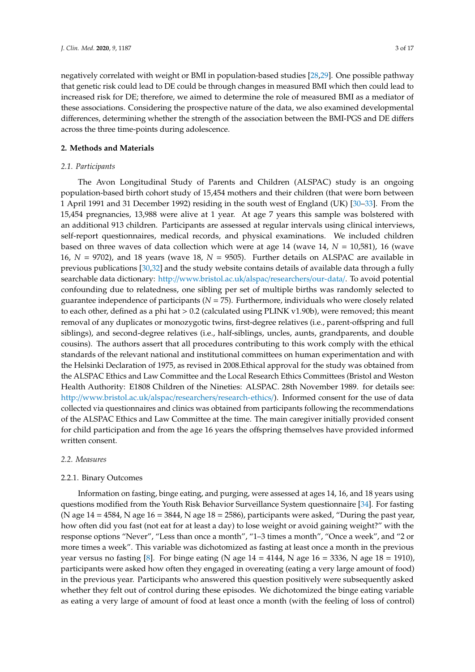negatively correlated with weight or BMI in population-based studies [\[28,](#page-14-13)[29\]](#page-14-14). One possible pathway that genetic risk could lead to DE could be through changes in measured BMI which then could lead to increased risk for DE; therefore, we aimed to determine the role of measured BMI as a mediator of these associations. Considering the prospective nature of the data, we also examined developmental differences, determining whether the strength of the association between the BMI-PGS and DE differs across the three time-points during adolescence.

## **2. Methods and Materials**

#### *2.1. Participants*

The Avon Longitudinal Study of Parents and Children (ALSPAC) study is an ongoing population-based birth cohort study of 15,454 mothers and their children (that were born between 1 April 1991 and 31 December 1992) residing in the south west of England (UK) [\[30](#page-14-15)[–33\]](#page-15-0). From the 15,454 pregnancies, 13,988 were alive at 1 year. At age 7 years this sample was bolstered with an additional 913 children. Participants are assessed at regular intervals using clinical interviews, self-report questionnaires, medical records, and physical examinations. We included children based on three waves of data collection which were at age 14 (wave 14, *N* = 10,581), 16 (wave 16, *N* = 9702), and 18 years (wave 18, *N* = 9505). Further details on ALSPAC are available in previous publications [\[30](#page-14-15)[,32\]](#page-14-16) and the study website contains details of available data through a fully searchable data dictionary: http://[www.bristol.ac.uk](http://www.bristol.ac.uk/alspac/researchers/our-data/)/alspac/researchers/our-data/. To avoid potential confounding due to relatedness, one sibling per set of multiple births was randomly selected to guarantee independence of participants (*N* = 75). Furthermore, individuals who were closely related to each other, defined as a phi hat > 0.2 (calculated using PLINK v1.90b), were removed; this meant removal of any duplicates or monozygotic twins, first-degree relatives (i.e., parent-offspring and full siblings), and second-degree relatives (i.e., half-siblings, uncles, aunts, grandparents, and double cousins). The authors assert that all procedures contributing to this work comply with the ethical standards of the relevant national and institutional committees on human experimentation and with the Helsinki Declaration of 1975, as revised in 2008.Ethical approval for the study was obtained from the ALSPAC Ethics and Law Committee and the Local Research Ethics Committees (Bristol and Weston Health Authority: E1808 Children of the Nineties: ALSPAC. 28th November 1989. for details see: http://[www.bristol.ac.uk](http://www.bristol.ac.uk/alspac/researchers/research-ethics/)/alspac/researchers/research-ethics/). Informed consent for the use of data collected via questionnaires and clinics was obtained from participants following the recommendations of the ALSPAC Ethics and Law Committee at the time. The main caregiver initially provided consent for child participation and from the age 16 years the offspring themselves have provided informed written consent.

## *2.2. Measures*

#### 2.2.1. Binary Outcomes

Information on fasting, binge eating, and purging, were assessed at ages 14, 16, and 18 years using questions modified from the Youth Risk Behavior Surveillance System questionnaire [\[34\]](#page-15-1). For fasting (N age  $14 = 4584$ , N age  $16 = 3844$ , N age  $18 = 2586$ ), participants were asked, "During the past year, how often did you fast (not eat for at least a day) to lose weight or avoid gaining weight?" with the response options "Never", "Less than once a month", "1–3 times a month", "Once a week", and "2 or more times a week". This variable was dichotomized as fasting at least once a month in the previous year versus no fasting [\[8\]](#page-13-4). For binge eating (N age  $14 = 4144$ , N age  $16 = 3336$ , N age  $18 = 1910$ ), participants were asked how often they engaged in overeating (eating a very large amount of food) in the previous year. Participants who answered this question positively were subsequently asked whether they felt out of control during these episodes. We dichotomized the binge eating variable as eating a very large of amount of food at least once a month (with the feeling of loss of control)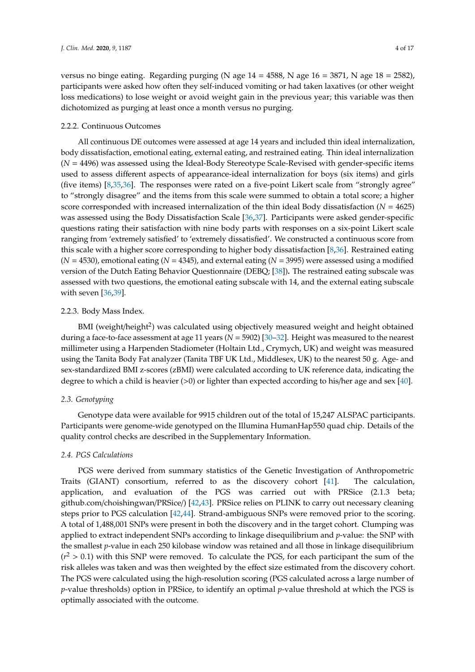versus no binge eating. Regarding purging (N age  $14 = 4588$ , N age  $16 = 3871$ , N age  $18 = 2582$ ), participants were asked how often they self-induced vomiting or had taken laxatives (or other weight loss medications) to lose weight or avoid weight gain in the previous year; this variable was then dichotomized as purging at least once a month versus no purging.

# 2.2.2. Continuous Outcomes

All continuous DE outcomes were assessed at age 14 years and included thin ideal internalization, body dissatisfaction, emotional eating, external eating, and restrained eating. Thin ideal internalization (*N* = 4496) was assessed using the Ideal-Body Stereotype Scale-Revised with gender-specific items used to assess different aspects of appearance-ideal internalization for boys (six items) and girls (five items) [\[8,](#page-13-4)[35,](#page-15-2)[36\]](#page-15-3). The responses were rated on a five-point Likert scale from "strongly agree" to "strongly disagree" and the items from this scale were summed to obtain a total score; a higher score corresponded with increased internalization of the thin ideal Body dissatisfaction (*N* = 4625) was assessed using the Body Dissatisfaction Scale [\[36,](#page-15-3)[37\]](#page-15-4). Participants were asked gender-specific questions rating their satisfaction with nine body parts with responses on a six-point Likert scale ranging from 'extremely satisfied' to 'extremely dissatisfied'. We constructed a continuous score from this scale with a higher score corresponding to higher body dissatisfaction [\[8](#page-13-4)[,36\]](#page-15-3). Restrained eating  $(N = 4530)$ , emotional eating  $(N = 4345)$ , and external eating  $(N = 3995)$  were assessed using a modified version of the Dutch Eating Behavior Questionnaire (DEBQ; [\[38\]](#page-15-5))**.** The restrained eating subscale was assessed with two questions, the emotional eating subscale with 14, and the external eating subscale with seven [\[36](#page-15-3)[,39\]](#page-15-6).

# 2.2.3. Body Mass Index.

BMI (weight/height<sup>2</sup>) was calculated using objectively measured weight and height obtained during a face-to-face assessment at age 11 years (*N* = 5902) [\[30](#page-14-15)[–32\]](#page-14-16). Height was measured to the nearest millimeter using a Harpenden Stadiometer (Holtain Ltd., Crymych, UK) and weight was measured using the Tanita Body Fat analyzer (Tanita TBF UK Ltd., Middlesex, UK) to the nearest 50 g. Age- and sex-standardized BMI z-scores (zBMI) were calculated according to UK reference data, indicating the degree to which a child is heavier (>0) or lighter than expected according to his/her age and sex [\[40\]](#page-15-7).

# *2.3. Genotyping*

Genotype data were available for 9915 children out of the total of 15,247 ALSPAC participants. Participants were genome-wide genotyped on the Illumina HumanHap550 quad chip. Details of the quality control checks are described in the Supplementary Information.

# *2.4. PGS Calculations*

PGS were derived from summary statistics of the Genetic Investigation of Anthropometric Traits (GIANT) consortium, referred to as the discovery cohort [\[41\]](#page-15-8). The calculation, application, and evaluation of the PGS was carried out with PRSice (2.1.3 beta; github.com/choishingwan/PRSice/) [\[42,](#page-15-9)[43\]](#page-15-10). PRSice relies on PLINK to carry out necessary cleaning steps prior to PGS calculation [\[42,](#page-15-9)[44\]](#page-15-11). Strand-ambiguous SNPs were removed prior to the scoring. A total of 1,488,001 SNPs were present in both the discovery and in the target cohort. Clumping was applied to extract independent SNPs according to linkage disequilibrium and *p*-value: the SNP with the smallest *p*-value in each 250 kilobase window was retained and all those in linkage disequilibrium  $(r^2 > 0.1)$  with this SNP were removed. To calculate the PGS, for each participant the sum of the risk alleles was taken and was then weighted by the effect size estimated from the discovery cohort. The PGS were calculated using the high-resolution scoring (PGS calculated across a large number of *p*-value thresholds) option in PRSice, to identify an optimal *p*-value threshold at which the PGS is optimally associated with the outcome.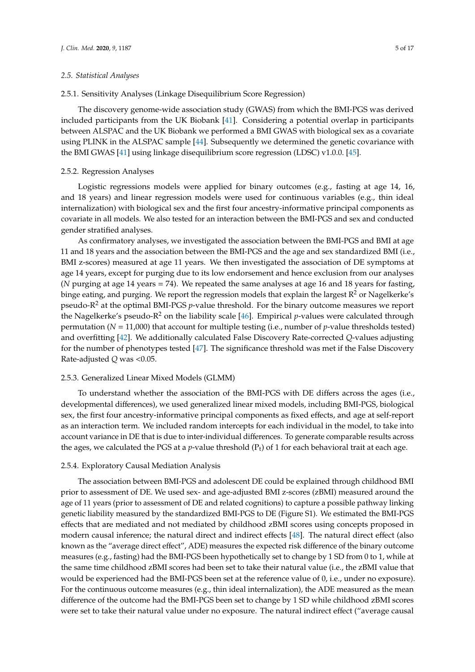#### *2.5. Statistical Analyses*

# 2.5.1. Sensitivity Analyses (Linkage Disequilibrium Score Regression)

The discovery genome-wide association study (GWAS) from which the BMI-PGS was derived included participants from the UK Biobank [\[41\]](#page-15-8). Considering a potential overlap in participants between ALSPAC and the UK Biobank we performed a BMI GWAS with biological sex as a covariate using PLINK in the ALSPAC sample [\[44\]](#page-15-11). Subsequently we determined the genetic covariance with the BMI GWAS [\[41\]](#page-15-8) using linkage disequilibrium score regression (LDSC) v1.0.0. [\[45\]](#page-15-12).

# 2.5.2. Regression Analyses

Logistic regressions models were applied for binary outcomes (e.g., fasting at age 14, 16, and 18 years) and linear regression models were used for continuous variables (e.g., thin ideal internalization) with biological sex and the first four ancestry-informative principal components as covariate in all models. We also tested for an interaction between the BMI-PGS and sex and conducted gender stratified analyses.

As confirmatory analyses, we investigated the association between the BMI-PGS and BMI at age 11 and 18 years and the association between the BMI-PGS and the age and sex standardized BMI (i.e., BMI z-scores) measured at age 11 years. We then investigated the association of DE symptoms at age 14 years, except for purging due to its low endorsement and hence exclusion from our analyses (*N* purging at age 14 years = 74). We repeated the same analyses at age 16 and 18 years for fasting, binge eating, and purging. We report the regression models that explain the largest  $R^2$  or Nagelkerke's pseudo-R<sup>2</sup> at the optimal BMI-PGS *p*-value threshold. For the binary outcome measures we report the Nagelkerke's pseudo- $R^2$  on the liability scale [\[46\]](#page-15-13). Empirical *p*-values were calculated through permutation (*N* = 11,000) that account for multiple testing (i.e., number of *p*-value thresholds tested) and overfitting [\[42\]](#page-15-9). We additionally calculated False Discovery Rate-corrected *Q*-values adjusting for the number of phenotypes tested [\[47\]](#page-15-14). The significance threshold was met if the False Discovery Rate-adjusted *Q* was <0.05.

#### 2.5.3. Generalized Linear Mixed Models (GLMM)

To understand whether the association of the BMI-PGS with DE differs across the ages (i.e., developmental differences), we used generalized linear mixed models, including BMI-PGS, biological sex, the first four ancestry-informative principal components as fixed effects, and age at self-report as an interaction term. We included random intercepts for each individual in the model, to take into account variance in DE that is due to inter-individual differences. To generate comparable results across the ages, we calculated the PGS at a *p*-value threshold  $(P_t)$  of 1 for each behavioral trait at each age.

# 2.5.4. Exploratory Causal Mediation Analysis

The association between BMI-PGS and adolescent DE could be explained through childhood BMI prior to assessment of DE. We used sex- and age-adjusted BMI z-scores (zBMI) measured around the age of 11 years (prior to assessment of DE and related cognitions) to capture a possible pathway linking genetic liability measured by the standardized BMI-PGS to DE (Figure S1). We estimated the BMI-PGS effects that are mediated and not mediated by childhood zBMI scores using concepts proposed in modern causal inference; the natural direct and indirect effects [\[48\]](#page-15-15). The natural direct effect (also known as the "average direct effect", ADE) measures the expected risk difference of the binary outcome measures (e.g., fasting) had the BMI-PGS been hypothetically set to change by 1 SD from 0 to 1, while at the same time childhood zBMI scores had been set to take their natural value (i.e., the zBMI value that would be experienced had the BMI-PGS been set at the reference value of 0, i.e., under no exposure). For the continuous outcome measures (e.g., thin ideal internalization), the ADE measured as the mean difference of the outcome had the BMI-PGS been set to change by 1 SD while childhood zBMI scores were set to take their natural value under no exposure. The natural indirect effect ("average causal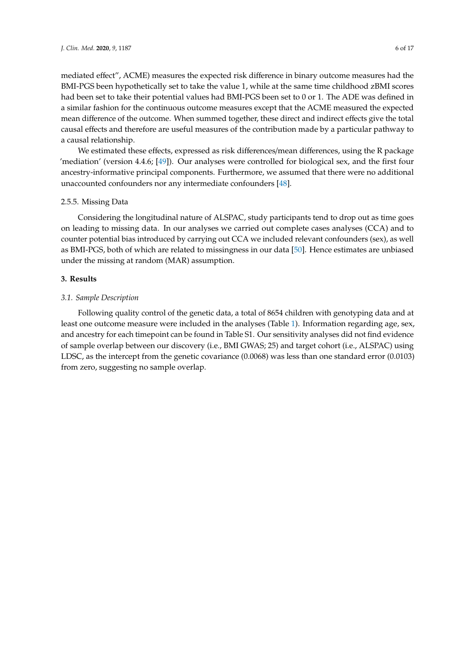mediated effect", ACME) measures the expected risk difference in binary outcome measures had the BMI-PGS been hypothetically set to take the value 1, while at the same time childhood zBMI scores had been set to take their potential values had BMI-PGS been set to 0 or 1. The ADE was defined in a similar fashion for the continuous outcome measures except that the ACME measured the expected mean difference of the outcome. When summed together, these direct and indirect effects give the total causal effects and therefore are useful measures of the contribution made by a particular pathway to a causal relationship.

We estimated these effects, expressed as risk differences/mean differences, using the R package 'mediation' (version 4.4.6; [\[49\]](#page-15-16)). Our analyses were controlled for biological sex, and the first four ancestry-informative principal components. Furthermore, we assumed that there were no additional unaccounted confounders nor any intermediate confounders [\[48\]](#page-15-15).

# 2.5.5. Missing Data

Considering the longitudinal nature of ALSPAC, study participants tend to drop out as time goes on leading to missing data. In our analyses we carried out complete cases analyses (CCA) and to counter potential bias introduced by carrying out CCA we included relevant confounders (sex), as well as BMI-PGS, both of which are related to missingness in our data [\[50\]](#page-15-17). Hence estimates are unbiased under the missing at random (MAR) assumption.

# **3. Results**

# *3.1. Sample Description*

Following quality control of the genetic data, a total of 8654 children with genotyping data and at least one outcome measure were included in the analyses (Table [1\)](#page-6-0). Information regarding age, sex, and ancestry for each timepoint can be found in Table S1. Our sensitivity analyses did not find evidence of sample overlap between our discovery (i.e., BMI GWAS; 25) and target cohort (i.e., ALSPAC) using LDSC, as the intercept from the genetic covariance (0.0068) was less than one standard error (0.0103) from zero, suggesting no sample overlap.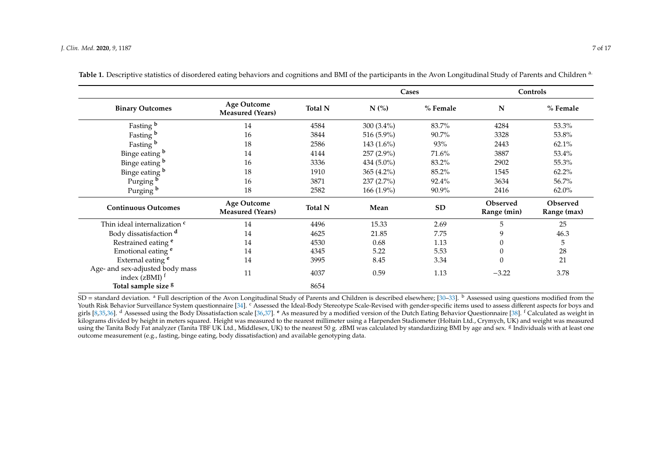|                                                                             | <b>Age Outcome</b><br><b>Measured (Years)</b> | <b>Total N</b> | Cases         |           | Controls                |                         |
|-----------------------------------------------------------------------------|-----------------------------------------------|----------------|---------------|-----------|-------------------------|-------------------------|
| <b>Binary Outcomes</b>                                                      |                                               |                | $N$ (%)       | % Female  | N                       | % Female                |
| Fasting b                                                                   | 14                                            | 4584           | 300 $(3.4\%)$ | 83.7%     | 4284                    | 53.3%                   |
| Fasting b                                                                   | 16                                            | 3844           | 516 (5.9%)    | 90.7%     | 3328                    | 53.8%                   |
| Fasting b                                                                   | 18                                            | 2586           | $143(1.6\%)$  | 93%       | 2443                    | 62.1%                   |
| Binge eating b                                                              | 14                                            | 4144           | 257 (2.9%)    | 71.6%     | 3887                    | 53.4%                   |
| Binge eating b                                                              | 16                                            | 3336           | $434(5.0\%)$  | 83.2%     | 2902                    | 55.3%                   |
| Binge eating b                                                              | 18                                            | 1910           | 365 (4.2%)    | 85.2%     | 1545                    | 62.2%                   |
| Purging b                                                                   | 16                                            | 3871           | 237 (2.7%)    | 92.4%     | 3634                    | 56.7%                   |
| Purging b                                                                   | 18                                            | 2582           | 166 (1.9%)    | 90.9%     | 2416                    | $62.0\%$                |
| <b>Continuous Outcomes</b>                                                  | <b>Age Outcome</b><br><b>Measured (Years)</b> | <b>Total N</b> | Mean          | <b>SD</b> | Observed<br>Range (min) | Observed<br>Range (max) |
| Thin ideal internalization <sup>c</sup>                                     | 14                                            | 4496           | 15.33         | 2.69      | 5                       | 25                      |
| Body dissatisfaction d                                                      | 14                                            | 4625           | 21.85         | 7.75      | 9                       | 46.3                    |
| Restrained eating <sup>e</sup>                                              | 14                                            | 4530           | 0.68          | 1.13      | $\theta$                | 5                       |
| Emotional eating <sup>e</sup>                                               | 14                                            | 4345           | 5.22          | 5.53      | $\theta$                | 28                      |
| External eating <sup>e</sup>                                                | 14                                            | 3995           | 8.45          | 3.34      | $\Omega$                | 21                      |
| Age- and sex-adjusted body mass<br>index $(zBMI)$ <sup><math>f</math></sup> | 11                                            | 4037           | 0.59          | 1.13      | $-3.22$                 | 3.78                    |
| Total sample size <sup>8</sup>                                              |                                               | 8654           |               |           |                         |                         |

Table 1. Descriptive statistics of disordered eating behaviors and cognitions and BMI of the participants in the Avon Longitudinal Study of Parents and Children a.

<span id="page-6-0"></span>SD = standard deviation. <sup>a</sup> Full description of the Avon Longitudinal Study of Parents and Children is described elsewhere; [\[30](#page-14-17)[–33\]](#page-15-18). <sup>b</sup> Assessed using questions modified from the Youth Risk Behavior Surveillance System questionnaire [\[34\]](#page-15-19). <sup>c</sup>Assessed the Ideal-Body Stereotype Scale-Revised with gender-specific items used to assess different aspects for boys and girls [\[8](#page-13-10)[,35](#page-15-20)[,36\]](#page-15-21). <sup>d</sup> Assessed using the Body Dissatisfaction scale [\[36,](#page-15-21)[37\]](#page-15-22). <sup>e</sup> As measured by a modified version of the Dutch Eating Behavior Questionnaire [\[38\]](#page-15-23). <sup>f</sup> Calculated as weight in kilograms divided by height in meters squared. Height was measured to the nearest millimeter using a Harpenden Stadiometer (Holtain Ltd., Crymych, UK) and weight was measured using the Tanita Body Fat analyzer (Tanita TBF UK Ltd., Middlesex, UK) to the nearest 50 g. zBMI was calculated by standardizing BMI by age and sex. <sup>g</sup> Individuals with at least one outcome measurement (e.g., fasting, binge eating, body dissatisfaction) and available genotyping data.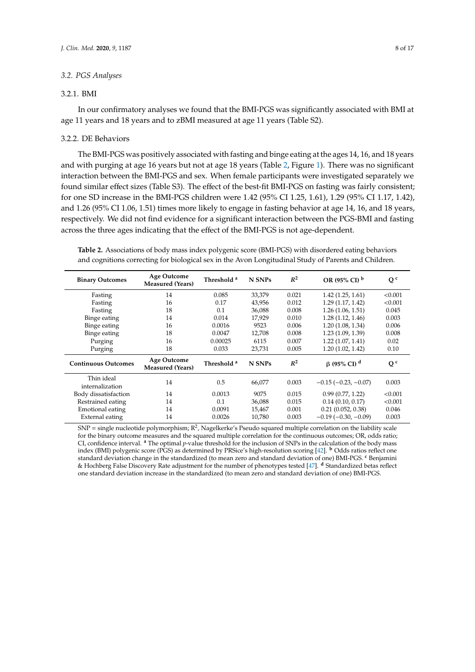## *3.2. PGS Analyses*

#### 3.2.1. BMI

In our confirmatory analyses we found that the BMI-PGS was significantly associated with BMI at age 11 years and 18 years and to zBMI measured at age 11 years (Table S2).

## 3.2.2. DE Behaviors

The BMI-PGS was positively associated with fasting and binge eating at the ages 14, 16, and 18 years and with purging at age 16 years but not at age 18 years (Table [2,](#page-7-0) Figure [1\)](#page-8-0). There was no significant interaction between the BMI-PGS and sex. When female participants were investigated separately we found similar effect sizes (Table S3). The effect of the best-fit BMI-PGS on fasting was fairly consistent; for one SD increase in the BMI-PGS children were 1.42 (95% CI 1.25, 1.61), 1.29 (95% CI 1.17, 1.42), and 1.26 (95% CI 1.06, 1.51) times more likely to engage in fasting behavior at age 14, 16, and 18 years, respectively. We did not find evidence for a significant interaction between the PGS-BMI and fasting across the three ages indicating that the effect of the BMI-PGS is not age-dependent.

<span id="page-7-0"></span>**Table 2.** Associations of body mass index polygenic score (BMI-PGS) with disordered eating behaviors and cognitions correcting for biological sex in the Avon Longitudinal Study of Parents and Children.

| <b>Binary Outcomes</b>        | <b>Age Outcome</b><br><b>Measured (Years)</b> | Threshold <sup>a</sup> | N SNPs | $R^2$ | OR (95% CI) b                 | Q <sup>c</sup> |
|-------------------------------|-----------------------------------------------|------------------------|--------|-------|-------------------------------|----------------|
| Fasting                       | 14                                            | 0.085                  | 33,379 | 0.021 | 1.42(1.25, 1.61)              | < 0.001        |
| Fasting                       | 16                                            | 0.17                   | 43,956 | 0.012 | 1.29 (1.17, 1.42)             | < 0.001        |
| Fasting                       | 18                                            | 0.1                    | 36,088 | 0.008 | 1.26(1.06, 1.51)              | 0.045          |
| Binge eating                  | 14                                            | 0.014                  | 17,929 | 0.010 | 1.28(1.12, 1.46)              | 0.003          |
| Binge eating                  | 16                                            | 0.0016                 | 9523   | 0.006 | 1.20 (1.08, 1.34)             | 0.006          |
| Binge eating                  | 18                                            | 0.0047                 | 12,708 | 0.008 | 1.23(1.09, 1.39)              | 0.008          |
| Purging                       | 16                                            | 0.00025                | 6115   | 0.007 | 1.22(1.07, 1.41)              | 0.02           |
| Purging                       | 18                                            | 0.033                  | 23,731 | 0.005 | 1.20(1.02, 1.42)              | 0.10           |
| <b>Continuous Outcomes</b>    | <b>Age Outcome</b><br><b>Measured (Years)</b> | Threshold <sup>a</sup> | N SNPs | $R^2$ | $\beta$ (95% CI) <sup>d</sup> | Q <sup>c</sup> |
| Thin ideal<br>internalization | 14                                            | 0.5                    | 66,077 | 0.003 | $-0.15$ ( $-0.23$ , $-0.07$ ) | 0.003          |
| Body dissatisfaction          | 14                                            | 0.0013                 | 9075   | 0.015 | 0.99(0.77, 1.22)              | < 0.001        |
| Restrained eating             | 14                                            | 0.1                    | 36,088 | 0.015 | $0.14$ (0.10, 0.17)           | < 0.001        |
| Emotional eating              | 14                                            | 0.0091                 | 15,467 | 0.001 | 0.21(0.052, 0.38)             | 0.046          |
| External eating               | 14                                            | 0.0026                 | 10,780 | 0.003 | $-0.19(-0.30, -0.09)$         | 0.003          |

 $SNP =$  single nucleotide polymorphism;  $R^2$ , Nagelkerke's Pseudo squared multiple correlation on the liability scale for the binary outcome measures and the squared multiple correlation for the continuous outcomes; OR, odds ratio; CI, confidence interval. **<sup>a</sup>** The optimal *p*-value threshold for the inclusion of SNPs in the calculation of the body mass index (BMI) polygenic score (PGS) as determined by PRSice's high-resolution scoring [\[42\]](#page-15-9). **<sup>b</sup>** Odds ratios reflect one standard deviation change in the standardized (to mean zero and standard deviation of one) BMI-PGS. **<sup>c</sup>** Benjamini & Hochberg False Discovery Rate adjustment for the number of phenotypes tested [\[47\]](#page-15-14). **<sup>d</sup>** Standardized betas reflect one standard deviation increase in the standardized (to mean zero and standard deviation of one) BMI-PGS.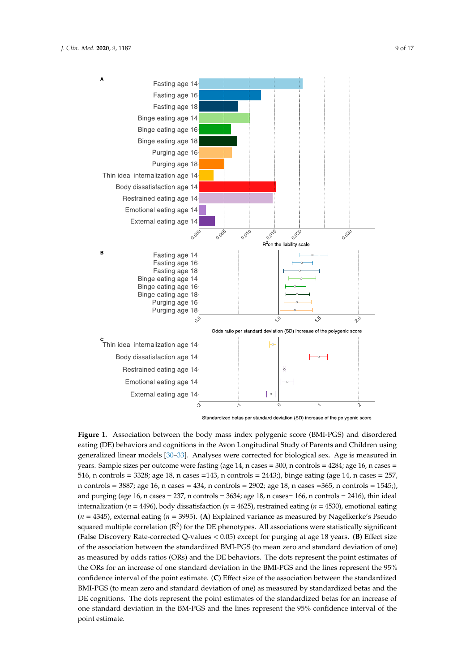<span id="page-8-0"></span>

Standardized betas per standard deviation (SD) increase of the polygenic score

Figure 1. Association between the body mass index polygenic score (BMI-PGS) and disordered (DE) behaviors and cognitions in the Avon Longitudinal Study of Parents and Children using eating (DE) behaviors and cognitions in the Avon Longitudinal Study of Parents and Children using generalized linear models [30–33]. Analyses were corrected for biological sex. Age is measured in generalized linear models [\[30–](#page-14-15)[33\]](#page-15-0). Analyses were corrected for biological sex. Age is measured in years. Sample sizes per outcome were fasting (age 14, n cases = 300, n controls = 4284; age 16, n cases years. Sample sizes per outcome were fasting (age 14, n cases = 300, n controls = 4284; age 16, n cases = = 516, n controls = 3328; age 18, n cases =143, n controls = 2443;), binge eating (age 14, n cases = 257, n 516, n controls = 3328; age 18, n cases =143, n controls = 2443;), binge eating (age 14, n cases = 257, n controls = 3887; age 16, n cases = 434, n controls = 2902; age 18, n cases = 365, n controls = 1545;), and purging (age 16, n cases = 237, n controls = 3634; age 18, n cases= 166, n controls = 2416), thin ideal internalization (*n* = 4496), body dissatisfaction (*n* = 4625), restrained eating (*n* = 4530), emotional eating (*n* = 4345), external eating (*n* = 3995). (**A**) Explained variance as measured by Nagelkerke's Pseudo squared multiple correlation  $(R^2)$  for the DE phenotypes. All associations were statistically significant squared multiple correlation  $(R^2)$  for the DE phenotypes. All associations were statistically significant (False Discovery Rate-corrected Q-values < 0.05) except for purging at age 18 years. (**B**) Effect size of (False Discovery Rate-corrected Q-values < 0.05) except for purging at age 18 years. (**B**) Effect size  $t_{\text{in}}$  as a standardized between the standardized BMI-PGS ( $t_{\text{in}}$ ) and standard deviation of  $t_{\text{in}}$ of the association between the standardized BMI-PGS (to mean zero and standard deviation of one) as measured by odds ratios (ORs) and the DE behaviors. The dots represent the point estimates of the ORs for an increase of one standard deviation in the BMI-PGS and the lines represent the 95% confidence interval of the point estimate. (C) Effect size of the association between the standardized BMI-PGS (to mean zero and standard deviation of one) as measured by standardized betas and the DE cognitions. The dots represent the point estimates of the standardized betas for an increase of one standard deviation in the BM-PGS and the lines represent the 95% confidence interval of the point estimate.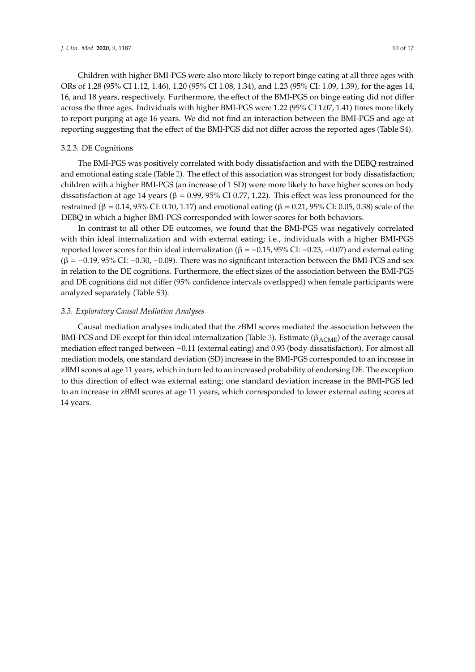Children with higher BMI-PGS were also more likely to report binge eating at all three ages with ORs of 1.28 (95% CI 1.12, 1.46), 1.20 (95% CI 1.08, 1.34), and 1.23 (95% CI: 1.09, 1.39), for the ages 14, 16, and 18 years, respectively. Furthermore, the effect of the BMI-PGS on binge eating did not differ across the three ages. Individuals with higher BMI-PGS were 1.22 (95% CI 1.07, 1.41) times more likely to report purging at age 16 years. We did not find an interaction between the BMI-PGS and age at reporting suggesting that the effect of the BMI-PGS did not differ across the reported ages (Table S4).

## 3.2.3. DE Cognitions

The BMI-PGS was positively correlated with body dissatisfaction and with the DEBQ restrained and emotional eating scale (Table [2\)](#page-7-0). The effect of this association was strongest for body dissatisfaction; children with a higher BMI-PGS (an increase of 1 SD) were more likely to have higher scores on body dissatisfaction at age 14 years ( $\beta$  = 0.99, 95% CI 0.77, 1.22). This effect was less pronounced for the restrained (β = 0.14, 95% CI: 0.10, 1.17) and emotional eating (β = 0.21, 95% CI: 0.05, 0.38) scale of the DEBQ in which a higher BMI-PGS corresponded with lower scores for both behaviors.

In contrast to all other DE outcomes, we found that the BMI-PGS was negatively correlated with thin ideal internalization and with external eating; i.e., individuals with a higher BMI-PGS reported lower scores for thin ideal internalization (β =  $-0.15$ , 95% CI:  $-0.23$ ,  $-0.07$ ) and external eating  $(\beta = -0.19, 95\% \text{ CI: } -0.30, -0.09)$ . There was no significant interaction between the BMI-PGS and sex in relation to the DE cognitions. Furthermore, the effect sizes of the association between the BMI-PGS and DE cognitions did not differ (95% confidence intervals overlapped) when female participants were analyzed separately (Table S3).

# *3.3. Exploratory Causal Mediation Analyses*

Causal mediation analyses indicated that the zBMI scores mediated the association between the BMI-PGS and DE except for thin ideal internalization (Table [3\)](#page-10-0). Estimate ( $\beta_{\text{ACME}}$ ) of the average causal mediation effect ranged between −0.11 (external eating) and 0.93 (body dissatisfaction). For almost all mediation models, one standard deviation (SD) increase in the BMI-PGS corresponded to an increase in zBMI scores at age 11 years, which in turn led to an increased probability of endorsing DE. The exception to this direction of effect was external eating; one standard deviation increase in the BMI-PGS led to an increase in zBMI scores at age 11 years, which corresponded to lower external eating scores at 14 years.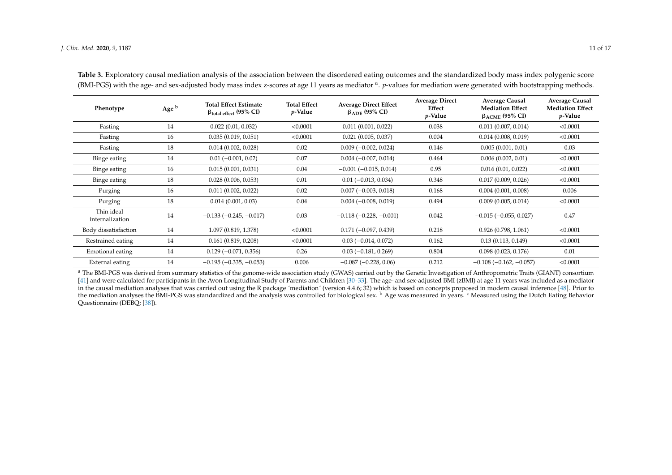| Phenotype                     | Age <sup>b</sup> | <b>Total Effect Estimate</b><br>$\beta$ total effect (95% CI) | <b>Total Effect</b><br>$p$ -Value | <b>Average Direct Effect</b><br>$\beta$ ADE (95% CI) | <b>Average Direct</b><br>Effect<br>$p$ -Value | <b>Average Causal</b><br><b>Mediation Effect</b><br>$\beta_{\rm ACME}$ (95% CI) | <b>Average Causal</b><br><b>Mediation Effect</b><br>$p$ -Value |
|-------------------------------|------------------|---------------------------------------------------------------|-----------------------------------|------------------------------------------------------|-----------------------------------------------|---------------------------------------------------------------------------------|----------------------------------------------------------------|
| Fasting                       | 14               | 0.022(0.01, 0.032)                                            | < 0.0001                          | 0.011(0.001, 0.022)                                  | 0.038                                         | 0.011(0.007, 0.014)                                                             | < 0.0001                                                       |
| Fasting                       | 16               | 0.035(0.019, 0.051)                                           | < 0.0001                          | 0.021(0.005, 0.037)                                  | 0.004                                         | 0.014(0.008, 0.019)                                                             | < 0.0001                                                       |
| Fasting                       | 18               | 0.014(0.002, 0.028)                                           | 0.02                              | $0.009$ ( $-0.002$ , $0.024$ )                       | 0.146                                         | 0.005(0.001, 0.01)                                                              | 0.03                                                           |
| Binge eating                  | 14               | $0.01 (-0.001, 0.02)$                                         | 0.07                              | $0.004 (-0.007, 0.014)$                              | 0.464                                         | 0.006(0.002, 0.01)                                                              | < 0.0001                                                       |
| Binge eating                  | 16               | 0.015(0.001, 0.031)                                           | 0.04                              | $-0.001$ ( $-0.015$ , 0.014)                         | 0.95                                          | 0.016(0.01, 0.022)                                                              | < 0.0001                                                       |
| Binge eating                  | 18               | 0.028(0.006, 0.053)                                           | 0.01                              | $0.01 (-0.013, 0.034)$                               | 0.348                                         | 0.017(0.009, 0.026)                                                             | < 0.0001                                                       |
| Purging                       | 16               | 0.011(0.002, 0.022)                                           | 0.02                              | $0.007 (-0.003, 0.018)$                              | 0.168                                         | 0.004(0.001, 0.008)                                                             | 0.006                                                          |
| Purging                       | 18               | 0.014(0.001, 0.03)                                            | 0.04                              | $0.004(-0.008, 0.019)$                               | 0.494                                         | 0.009(0.005, 0.014)                                                             | < 0.0001                                                       |
| Thin ideal<br>internalization | 14               | $-0.133(-0.245, -0.017)$                                      | 0.03                              | $-0.118(-0.228, -0.001)$                             | 0.042                                         | $-0.015$ ( $-0.055$ , 0.027)                                                    | 0.47                                                           |
| Body dissatisfaction          | 14               | 1.097 (0.819, 1.378)                                          | < 0.0001                          | $0.171(-0.097, 0.439)$                               | 0.218                                         | 0.926(0.798, 1.061)                                                             | < 0.0001                                                       |
| Restrained eating             | 14               | 0.161(0.819, 0.208)                                           | < 0.0001                          | $0.03(-0.014, 0.072)$                                | 0.162                                         | 0.13(0.113, 0.149)                                                              | < 0.0001                                                       |
| Emotional eating              | 14               | $0.129(-0.071, 0.356)$                                        | 0.26                              | $0.03$ (-0.181, 0.269)                               | 0.804                                         | 0.098(0.023, 0.176)                                                             | 0.01                                                           |
| External eating               | 14               | $-0.195(-0.335, -0.053)$                                      | 0.006                             | $-0.087(-0.228, 0.06)$                               | 0.212                                         | $-0.108(-0.162, -0.057)$                                                        | < 0.0001                                                       |

**Table 3.** Exploratory causal mediation analysis of the association between the disordered eating outcomes and the standardized body mass index polygenic score (BMI-PGS) with the age- and sex-adjusted body mass index z-scores at age 11 years as mediator <sup>a</sup>. *p*-values for mediation were generated with bootstrapping methods.

<span id="page-10-0"></span><sup>a</sup> The BMI-PGS was derived from summary statistics of the genome-wide association study (GWAS) carried out by the Genetic Investigation of Anthropometric Traits (GIANT) consortium [\[41\]](#page-15-24) and were calculated for participants in the Avon Longitudinal Study of Parents and Children [\[30](#page-14-17)[–33\]](#page-15-18). The age- and sex-adjusted BMI (zBMI) at age 11 years was included as a mediator in the causal mediation analyses that was carried out using the R package ´mediation´ (version 4.4.6; 32) which is based on concepts proposed in modern causal inference [\[48\]](#page-15-25). Prior to the mediation analyses the BMI-PGS was standardized and the analysis was controlled for biological sex. <sup>b</sup> Age was measured in years. <sup>c</sup> Measured using the Dutch Eating Behavior Questionnaire (DEBQ; [\[38\]](#page-15-23)).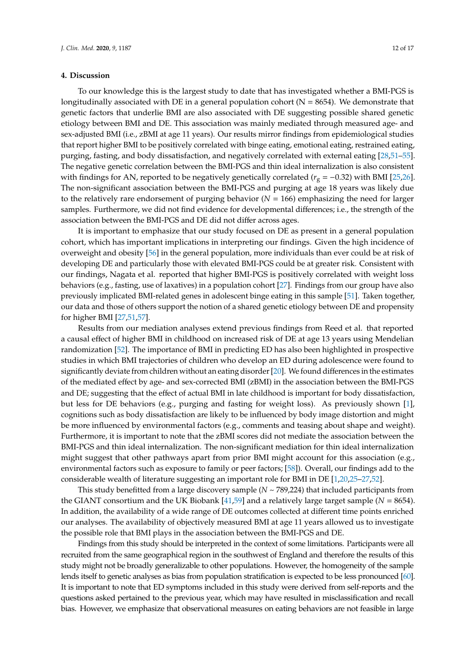## **4. Discussion**

To our knowledge this is the largest study to date that has investigated whether a BMI-PGS is longitudinally associated with DE in a general population cohort ( $N = 8654$ ). We demonstrate that genetic factors that underlie BMI are also associated with DE suggesting possible shared genetic etiology between BMI and DE. This association was mainly mediated through measured age- and sex-adjusted BMI (i.e., zBMI at age 11 years). Our results mirror findings from epidemiological studies that report higher BMI to be positively correlated with binge eating, emotional eating, restrained eating, purging, fasting, and body dissatisfaction, and negatively correlated with external eating [\[28,](#page-14-13)[51–](#page-15-26)[55\]](#page-16-0). The negative genetic correlation between the BMI-PGS and thin ideal internalization is also consistent with findings for AN, reported to be negatively genetically correlated (*r*<sup>g</sup> = −0.32) with BMI [\[25,](#page-14-10)[26\]](#page-14-11). The non-significant association between the BMI-PGS and purging at age 18 years was likely due to the relatively rare endorsement of purging behavior (*N* = 166) emphasizing the need for larger samples. Furthermore, we did not find evidence for developmental differences; i.e., the strength of the association between the BMI-PGS and DE did not differ across ages.

It is important to emphasize that our study focused on DE as present in a general population cohort, which has important implications in interpreting our findings. Given the high incidence of overweight and obesity [\[56\]](#page-16-1) in the general population, more individuals than ever could be at risk of developing DE and particularly those with elevated BMI-PGS could be at greater risk. Consistent with our findings, Nagata et al. reported that higher BMI-PGS is positively correlated with weight loss behaviors (e.g., fasting, use of laxatives) in a population cohort [\[27\]](#page-14-12). Findings from our group have also previously implicated BMI-related genes in adolescent binge eating in this sample [\[51\]](#page-15-26). Taken together, our data and those of others support the notion of a shared genetic etiology between DE and propensity for higher BMI [\[27,](#page-14-12)[51,](#page-15-26)[57\]](#page-16-2).

Results from our mediation analyses extend previous findings from Reed et al. that reported a causal effect of higher BMI in childhood on increased risk of DE at age 13 years using Mendelian randomization [\[52\]](#page-15-27). The importance of BMI in predicting ED has also been highlighted in prospective studies in which BMI trajectories of children who develop an ED during adolescence were found to significantly deviate from children without an eating disorder [\[20\]](#page-14-6). We found differences in the estimates of the mediated effect by age- and sex-corrected BMI (zBMI) in the association between the BMI-PGS and DE; suggesting that the effect of actual BMI in late childhood is important for body dissatisfaction, but less for DE behaviors (e.g., purging and fasting for weight loss). As previously shown [\[1\]](#page-13-0), cognitions such as body dissatisfaction are likely to be influenced by body image distortion and might be more influenced by environmental factors (e.g., comments and teasing about shape and weight). Furthermore, it is important to note that the zBMI scores did not mediate the association between the BMI-PGS and thin ideal internalization. The non-significant mediation for thin ideal internalization might suggest that other pathways apart from prior BMI might account for this association (e.g., environmental factors such as exposure to family or peer factors; [\[58\]](#page-16-3)). Overall, our findings add to the considerable wealth of literature suggesting an important role for BMI in DE [\[1,](#page-13-0)[20,](#page-14-6)[25](#page-14-10)[–27](#page-14-12)[,52\]](#page-15-27).

This study benefitted from a large discovery sample (*N* ~ 789,224) that included participants from the GIANT consortium and the UK Biobank [\[41,](#page-15-8)[59\]](#page-16-4) and a relatively large target sample (*N* = 8654). In addition, the availability of a wide range of DE outcomes collected at different time points enriched our analyses. The availability of objectively measured BMI at age 11 years allowed us to investigate the possible role that BMI plays in the association between the BMI-PGS and DE.

Findings from this study should be interpreted in the context of some limitations. Participants were all recruited from the same geographical region in the southwest of England and therefore the results of this study might not be broadly generalizable to other populations. However, the homogeneity of the sample lends itself to genetic analyses as bias from population stratification is expected to be less pronounced [\[60\]](#page-16-5). It is important to note that ED symptoms included in this study were derived from self-reports and the questions asked pertained to the previous year, which may have resulted in misclassification and recall bias. However, we emphasize that observational measures on eating behaviors are not feasible in large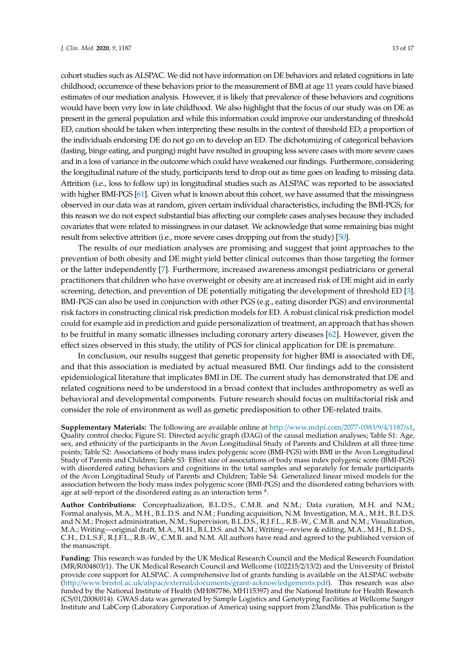cohort studies such as ALSPAC. We did not have information on DE behaviors and related cognitions in late childhood; occurrence of these behaviors prior to the measurement of BMI at age 11 years could have biased estimates of our mediation analysis. However, it is likely that prevalence of these behaviors and cognitions would have been very low in late childhood. We also highlight that the focus of our study was on DE as present in the general population and while this information could improve our understanding of threshold ED, caution should be taken when interpreting these results in the context of threshold ED; a proportion of the individuals endorsing DE do not go on to develop an ED. The dichotomizing of categorical behaviors (fasting, binge eating, and purging) might have resulted in grouping less severe cases with more severe cases and in a loss of variance in the outcome which could have weakened our findings. Furthermore, considering the longitudinal nature of the study, participants tend to drop out as time goes on leading to missing data. Attrition (i.e., loss to follow up) in longitudinal studies such as ALSPAC was reported to be associated with higher BMI-PGS [\[61\]](#page-16-6). Given what is known about this cohort, we have assumed that the missingness observed in our data was at random, given certain individual characteristics, including the BMI-PGS; for this reason we do not expect substantial bias affecting our complete cases analyses because they included covariates that were related to missingness in our dataset. We acknowledge that some remaining bias might result from selective attrition (i.e., more severe cases dropping out from the study) [\[50\]](#page-15-17).

The results of our mediation analyses are promising and suggest that joint approaches to the prevention of both obesity and DE might yield better clinical outcomes than those targeting the former or the latter independently [\[7\]](#page-13-3). Furthermore, increased awareness amongst pediatricians or general practitioners that children who have overweight or obesity are at increased risk of DE might aid in early screening, detection, and prevention of DE potentially mitigating the development of threshold ED [\[3\]](#page-13-1). BMI-PGS can also be used in conjunction with other PGS (e.g., eating disorder PGS) and environmental risk factors in constructing clinical risk prediction models for ED. A robust clinical risk prediction model could for example aid in prediction and guide personalization of treatment, an approach that has shown to be fruitful in many somatic illnesses including coronary artery diseases [\[62\]](#page-16-7). However, given the effect sizes observed in this study, the utility of PGS for clinical application for DE is premature.

In conclusion, our results suggest that genetic propensity for higher BMI is associated with DE, and that this association is mediated by actual measured BMI. Our findings add to the consistent epidemiological literature that implicates BMI in DE. The current study has demonstrated that DE and related cognitions need to be understood in a broad context that includes anthropometry as well as behavioral and developmental components. Future research should focus on multifactorial risk and consider the role of environment as well as genetic predisposition to other DE-related traits.

**Supplementary Materials:** The following are available online at http://[www.mdpi.com](http://www.mdpi.com/2077-0383/9/4/1187/s1)/2077-0383/9/4/1187/s1, Quality control checks; Figure S1: Directed acyclic graph (DAG) of the causal mediation analyses; Table S1: Age, sex, and ethnicity of the participants in the Avon Longitudinal Study of Parents and Children at all three time points; Table S2: Associations of body mass index polygenic score (BMI-PGS) with BMI in the Avon Longitudinal Study of Parents and Children; Table S3: Effect size of associations of body mass index polygenic score (BMI-PGS) with disordered eating behaviors and cognitions in the total samples and separately for female participants of the Avon Longitudinal Study of Parents and Children; Table S4: Generalized linear mixed models for the association between the body mass index polygenic score (BMI-PGS) and the disordered eating behaviors with age at self-report of the disordered eating as an interaction term<sup>a</sup>.

**Author Contributions:** Conceptualization, B.L.D.S., C.M.B. and N.M.; Data curation, M.H. and N.M.; Formal analysis, M.A., M.H., B.L.D.S. and N.M.; Funding acquisition, N.M. Investigation, M.A., M.H., B.L.D.S. and N.M.; Project administration, N.M.; Supervision, B.L.D.S., R.J.F.L., R.B.-W., C.M.B. and N.M.; Visualization, M.A.; Writing—original draft, M.A., M.H., B.L.D.S. and N.M.; Writing—review & editing, M.A., M.H., B.L.D.S., C.H., D.L.S.F., R.J.F.L., R.B.-W., C.M.B. and N.M. All authors have read and agreed to the published version of the manuscript.

**Funding:** This research was funded by the UK Medical Research Council and the Medical Research Foundation (MR/R004803/1). The UK Medical Research Council and Wellcome (102215/2/13/2) and the University of Bristol provide core support for ALSPAC. A comprehensive list of grants funding is available on the ALSPAC website (http://www.bristol.ac.uk/alspac/external/documents/[grant-acknowledgements.pdf\)](http://www.bristol.ac.uk/alspac/external/documents/grant-acknowledgements.pdf). This research was also funded by the National Institute of Health (MH087786, MH115397) and the National Institute for Health Research (CS/01/2008/014). GWAS data was generated by Sample Logistics and Genotyping Facilities at Wellcome Sanger Institute and LabCorp (Laboratory Corporation of America) using support from 23andMe. This publication is the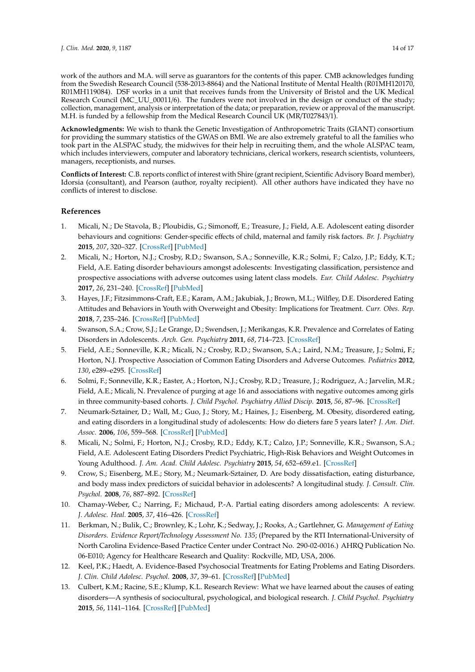work of the authors and M.A. will serve as guarantors for the contents of this paper. CMB acknowledges funding from the Swedish Research Council (538-2013-8864) and the National Institute of Mental Health (R01MH120170, R01MH119084). DSF works in a unit that receives funds from the University of Bristol and the UK Medical Research Council (MC\_UU\_00011/6). The funders were not involved in the design or conduct of the study; collection, management, analysis or interpretation of the data; or preparation, review or approval of the manuscript. M.H. is funded by a fellowship from the Medical Research Council UK (MR/T027843/1).

**Acknowledgments:** We wish to thank the Genetic Investigation of Anthropometric Traits (GIANT) consortium for providing the summary statistics of the GWAS on BMI. We are also extremely grateful to all the families who took part in the ALSPAC study, the midwives for their help in recruiting them, and the whole ALSPAC team, which includes interviewers, computer and laboratory technicians, clerical workers, research scientists, volunteers, managers, receptionists, and nurses.

**Conflicts of Interest:** C.B. reports conflict of interest with Shire (grant recipient, Scientific Advisory Board member), Idorsia (consultant), and Pearson (author, royalty recipient). All other authors have indicated they have no conflicts of interest to disclose.

# **References**

- <span id="page-13-0"></span>1. Micali, N.; De Stavola, B.; Ploubidis, G.; Simonoff, E.; Treasure, J.; Field, A.E. Adolescent eating disorder behaviours and cognitions: Gender-specific effects of child, maternal and family risk factors. *Br. J. Psychiatry* **2015**, *207*, 320–327. [\[CrossRef\]](http://dx.doi.org/10.1192/bjp.bp.114.152371) [\[PubMed\]](http://www.ncbi.nlm.nih.gov/pubmed/26206865)
- <span id="page-13-10"></span>2. Micali, N.; Horton, N.J.; Crosby, R.D.; Swanson, S.A.; Sonneville, K.R.; Solmi, F.; Calzo, J.P.; Eddy, K.T.; Field, A.E. Eating disorder behaviours amongst adolescents: Investigating classification, persistence and prospective associations with adverse outcomes using latent class models. *Eur. Child Adolesc. Psychiatry* **2017**, *26*, 231–240. [\[CrossRef\]](http://dx.doi.org/10.1007/s00787-016-0877-7) [\[PubMed\]](http://www.ncbi.nlm.nih.gov/pubmed/27341841)
- <span id="page-13-1"></span>3. Hayes, J.F.; Fitzsimmons-Craft, E.E.; Karam, A.M.; Jakubiak, J.; Brown, M.L.; Wilfley, D.E. Disordered Eating Attitudes and Behaviors in Youth with Overweight and Obesity: Implications for Treatment. *Curr. Obes. Rep.* **2018**, *7*, 235–246. [\[CrossRef\]](http://dx.doi.org/10.1007/s13679-018-0316-9) [\[PubMed\]](http://www.ncbi.nlm.nih.gov/pubmed/30069717)
- <span id="page-13-2"></span>4. Swanson, S.A.; Crow, S.J.; Le Grange, D.; Swendsen, J.; Merikangas, K.R. Prevalence and Correlates of Eating Disorders in Adolescents. *Arch. Gen. Psychiatry* **2011**, *68*, 714–723. [\[CrossRef\]](http://dx.doi.org/10.1001/archgenpsychiatry.2011.22)
- 5. Field, A.E.; Sonneville, K.R.; Micali, N.; Crosby, R.D.; Swanson, S.A.; Laird, N.M.; Treasure, J.; Solmi, F.; Horton, N.J. Prospective Association of Common Eating Disorders and Adverse Outcomes. *Pediatrics* **2012**, *130*, e289–e295. [\[CrossRef\]](http://dx.doi.org/10.1542/peds.2011-3663)
- 6. Solmi, F.; Sonneville, K.R.; Easter, A.; Horton, N.J.; Crosby, R.D.; Treasure, J.; Rodriguez, A.; Jarvelin, M.R.; Field, A.E.; Micali, N. Prevalence of purging at age 16 and associations with negative outcomes among girls in three community-based cohorts. *J. Child Psychol. Psychiatry Allied Discip.* **2015**, *56*, 87–96. [\[CrossRef\]](http://dx.doi.org/10.1111/jcpp.12283)
- <span id="page-13-3"></span>7. Neumark-Sztainer, D.; Wall, M.; Guo, J.; Story, M.; Haines, J.; Eisenberg, M. Obesity, disordered eating, and eating disorders in a longitudinal study of adolescents: How do dieters fare 5 years later? *J. Am. Diet. Assoc.* **2006**, *106*, 559–568. [\[CrossRef\]](http://dx.doi.org/10.1016/j.jada.2006.01.003) [\[PubMed\]](http://www.ncbi.nlm.nih.gov/pubmed/16567152)
- <span id="page-13-4"></span>8. Micali, N.; Solmi, F.; Horton, N.J.; Crosby, R.D.; Eddy, K.T.; Calzo, J.P.; Sonneville, K.R.; Swanson, S.A.; Field, A.E. Adolescent Eating Disorders Predict Psychiatric, High-Risk Behaviors and Weight Outcomes in Young Adulthood. *J. Am. Acad. Child Adolesc. Psychiatry* **2015**, *54*, 652–659.e1. [\[CrossRef\]](http://dx.doi.org/10.1016/j.jaac.2015.05.009)
- <span id="page-13-5"></span>9. Crow, S.; Eisenberg, M.E.; Story, M.; Neumark-Sztainer, D. Are body dissatisfaction, eating disturbance, and body mass index predictors of suicidal behavior in adolescents? A longitudinal study. *J. Consult. Clin. Psychol.* **2008**, *76*, 887–892. [\[CrossRef\]](http://dx.doi.org/10.1037/a0012783)
- <span id="page-13-6"></span>10. Chamay-Weber, C.; Narring, F.; Michaud, P.-A. Partial eating disorders among adolescents: A review. *J. Adolesc. Heal.* **2005**, *37*, 416–426. [\[CrossRef\]](http://dx.doi.org/10.1016/j.jadohealth.2004.09.014)
- <span id="page-13-7"></span>11. Berkman, N.; Bulik, C.; Brownley, K.; Lohr, K.; Sedway, J.; Rooks, A.; Gartlehner, G. *Management of Eating Disorders. Evidence Report*/*Technology Assessment No. 135*; (Prepared by the RTI International-University of North Carolina Evidence-Based Practice Center under Contract No. 290-02-0016.) AHRQ Publication No. 06-E010; Agency for Healthcare Research and Quality: Rockville, MD, USA, 2006.
- <span id="page-13-8"></span>12. Keel, P.K.; Haedt, A. Evidence-Based Psychosocial Treatments for Eating Problems and Eating Disorders. *J. Clin. Child Adolesc. Psychol.* **2008**, *37*, 39–61. [\[CrossRef\]](http://dx.doi.org/10.1080/15374410701817832) [\[PubMed\]](http://www.ncbi.nlm.nih.gov/pubmed/18444053)
- <span id="page-13-9"></span>13. Culbert, K.M.; Racine, S.E.; Klump, K.L. Research Review: What we have learned about the causes of eating disorders—A synthesis of sociocultural, psychological, and biological research. *J. Child Psychol. Psychiatry* **2015**, *56*, 1141–1164. [\[CrossRef\]](http://dx.doi.org/10.1111/jcpp.12441) [\[PubMed\]](http://www.ncbi.nlm.nih.gov/pubmed/26095891)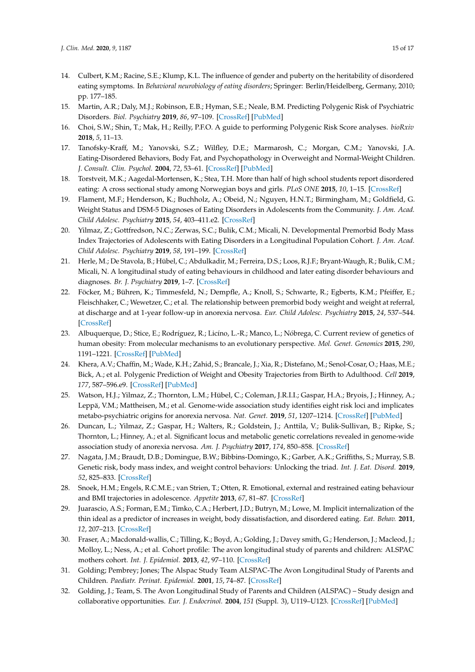- <span id="page-14-0"></span>14. Culbert, K.M.; Racine, S.E.; Klump, K.L. The influence of gender and puberty on the heritability of disordered eating symptoms. In *Behavioral neurobiology of eating disorders*; Springer: Berlin/Heidelberg, Germany, 2010; pp. 177–185.
- <span id="page-14-1"></span>15. Martin, A.R.; Daly, M.J.; Robinson, E.B.; Hyman, S.E.; Neale, B.M. Predicting Polygenic Risk of Psychiatric Disorders. *Biol. Psychiatry* **2019**, *86*, 97–109. [\[CrossRef\]](http://dx.doi.org/10.1016/j.biopsych.2018.12.015) [\[PubMed\]](http://www.ncbi.nlm.nih.gov/pubmed/30737014)
- <span id="page-14-2"></span>16. Choi, S.W.; Shin, T.; Mak, H.; Reilly, P.F.O. A guide to performing Polygenic Risk Score analyses. *bioRxiv* **2018**, *5*, 11–13.
- <span id="page-14-3"></span>17. Tanofsky-Kraff, M.; Yanovski, S.Z.; Wilfley, D.E.; Marmarosh, C.; Morgan, C.M.; Yanovski, J.A. Eating-Disordered Behaviors, Body Fat, and Psychopathology in Overweight and Normal-Weight Children. *J. Consult. Clin. Psychol.* **2004**, *72*, 53–61. [\[CrossRef\]](http://dx.doi.org/10.1037/0022-006X.72.1.53) [\[PubMed\]](http://www.ncbi.nlm.nih.gov/pubmed/14756614)
- <span id="page-14-4"></span>18. Torstveit, M.K.; Aagedal-Mortensen, K.; Stea, T.H. More than half of high school students report disordered eating: A cross sectional study among Norwegian boys and girls. *PLoS ONE* **2015**, *10*, 1–15. [\[CrossRef\]](http://dx.doi.org/10.1371/journal.pone.0122681)
- <span id="page-14-5"></span>19. Flament, M.F.; Henderson, K.; Buchholz, A.; Obeid, N.; Nguyen, H.N.T.; Birmingham, M.; Goldfield, G. Weight Status and DSM-5 Diagnoses of Eating Disorders in Adolescents from the Community. *J. Am. Acad. Child Adolesc. Psychiatry* **2015**, *54*, 403–411.e2. [\[CrossRef\]](http://dx.doi.org/10.1016/j.jaac.2015.01.020)
- <span id="page-14-6"></span>20. Yilmaz, Z.; Gottfredson, N.C.; Zerwas, S.C.; Bulik, C.M.; Micali, N. Developmental Premorbid Body Mass Index Trajectories of Adolescents with Eating Disorders in a Longitudinal Population Cohort. *J. Am. Acad. Child Adolesc. Psychiatry* **2019**, *58*, 191–199. [\[CrossRef\]](http://dx.doi.org/10.1016/j.jaac.2018.11.008)
- 21. Herle, M.; De Stavola, B.; Hübel, C.; Abdulkadir, M.; Ferreira, D.S.; Loos, R.J.F.; Bryant-Waugh, R.; Bulik, C.M.; Micali, N. A longitudinal study of eating behaviours in childhood and later eating disorder behaviours and diagnoses. *Br. J. Psychiatry* **2019**, 1–7. [\[CrossRef\]](http://dx.doi.org/10.1192/bjp.2019.174)
- <span id="page-14-7"></span>22. Föcker, M.; Bühren, K.; Timmesfeld, N.; Dempfle, A.; Knoll, S.; Schwarte, R.; Egberts, K.M.; Pfeiffer, E.; Fleischhaker, C.; Wewetzer, C.; et al. The relationship between premorbid body weight and weight at referral, at discharge and at 1-year follow-up in anorexia nervosa. *Eur. Child Adolesc. Psychiatry* **2015**, *24*, 537–544. [\[CrossRef\]](http://dx.doi.org/10.1007/s00787-014-0605-0)
- <span id="page-14-17"></span><span id="page-14-8"></span>23. Albuquerque, D.; Stice, E.; Rodríguez, R.; Licíno, L.-R.; Manco, L.; Nóbrega, C. Current review of genetics of human obesity: From molecular mechanisms to an evolutionary perspective. *Mol. Genet. Genomics* **2015**, *290*, 1191–1221. [\[CrossRef\]](http://dx.doi.org/10.1007/s00438-015-1015-9) [\[PubMed\]](http://www.ncbi.nlm.nih.gov/pubmed/25749980)
- <span id="page-14-9"></span>24. Khera, A.V.; Chaffin, M.; Wade, K.H.; Zahid, S.; Brancale, J.; Xia, R.; Distefano, M.; Senol-Cosar, O.; Haas, M.E.; Bick, A.; et al. Polygenic Prediction of Weight and Obesity Trajectories from Birth to Adulthood. *Cell* **2019**, *177*, 587–596.e9. [\[CrossRef\]](http://dx.doi.org/10.1016/j.cell.2019.03.028) [\[PubMed\]](http://www.ncbi.nlm.nih.gov/pubmed/31002795)
- <span id="page-14-10"></span>25. Watson, H.J.; Yilmaz, Z.; Thornton, L.M.; Hübel, C.; Coleman, J.R.I.I.; Gaspar, H.A.; Bryois, J.; Hinney, A.; Leppä, V.M.; Mattheisen, M.; et al. Genome-wide association study identifies eight risk loci and implicates metabo-psychiatric origins for anorexia nervosa. *Nat. Genet.* **2019**, *51*, 1207–1214. [\[CrossRef\]](http://dx.doi.org/10.1038/s41588-019-0439-2) [\[PubMed\]](http://www.ncbi.nlm.nih.gov/pubmed/31308545)
- <span id="page-14-11"></span>26. Duncan, L.; Yilmaz, Z.; Gaspar, H.; Walters, R.; Goldstein, J.; Anttila, V.; Bulik-Sullivan, B.; Ripke, S.; Thornton, L.; Hinney, A.; et al. Significant locus and metabolic genetic correlations revealed in genome-wide association study of anorexia nervosa. *Am. J. Psychiatry* **2017**, *174*, 850–858. [\[CrossRef\]](http://dx.doi.org/10.1176/appi.ajp.2017.16121402)
- <span id="page-14-12"></span>27. Nagata, J.M.; Braudt, D.B.; Domingue, B.W.; Bibbins-Domingo, K.; Garber, A.K.; Griffiths, S.; Murray, S.B. Genetic risk, body mass index, and weight control behaviors: Unlocking the triad. *Int. J. Eat. Disord.* **2019**, *52*, 825–833. [\[CrossRef\]](http://dx.doi.org/10.1002/eat.23083)
- <span id="page-14-13"></span>28. Snoek, H.M.; Engels, R.C.M.E.; van Strien, T.; Otten, R. Emotional, external and restrained eating behaviour and BMI trajectories in adolescence. *Appetite* **2013**, *67*, 81–87. [\[CrossRef\]](http://dx.doi.org/10.1016/j.appet.2013.03.014)
- <span id="page-14-14"></span>29. Juarascio, A.S.; Forman, E.M.; Timko, C.A.; Herbert, J.D.; Butryn, M.; Lowe, M. Implicit internalization of the thin ideal as a predictor of increases in weight, body dissatisfaction, and disordered eating. *Eat. Behav.* **2011**, *12*, 207–213. [\[CrossRef\]](http://dx.doi.org/10.1016/j.eatbeh.2011.04.004)
- <span id="page-14-15"></span>30. Fraser, A.; Macdonald-wallis, C.; Tilling, K.; Boyd, A.; Golding, J.; Davey smith, G.; Henderson, J.; Macleod, J.; Molloy, L.; Ness, A.; et al. Cohort profile: The avon longitudinal study of parents and children: ALSPAC mothers cohort. *Int. J. Epidemiol.* **2013**, *42*, 97–110. [\[CrossRef\]](http://dx.doi.org/10.1093/ije/dys066)
- 31. Golding; Pembrey; Jones; The Alspac Study Team ALSPAC-The Avon Longitudinal Study of Parents and Children. *Paediatr. Perinat. Epidemiol.* **2001**, *15*, 74–87. [\[CrossRef\]](http://dx.doi.org/10.1046/j.1365-3016.2001.00325.x)
- <span id="page-14-16"></span>32. Golding, J.; Team, S. The Avon Longitudinal Study of Parents and Children (ALSPAC) – Study design and collaborative opportunities. *Eur. J. Endocrinol.* **2004**, *151* (Suppl. 3), U119–U123. [\[CrossRef\]](http://dx.doi.org/10.1530/eje.0.151u119) [\[PubMed\]](http://www.ncbi.nlm.nih.gov/pubmed/15554896)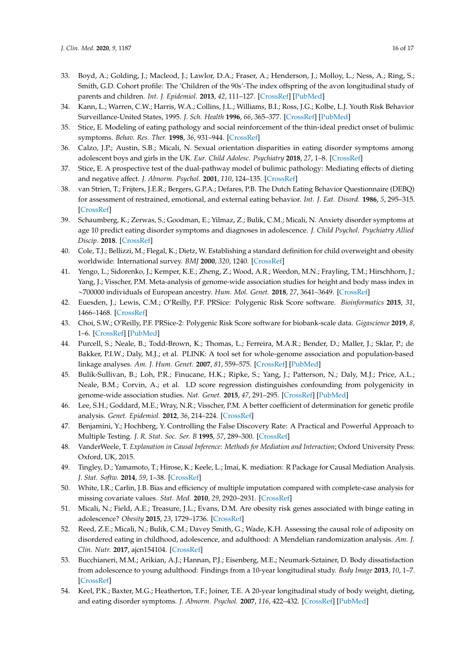- <span id="page-15-24"></span><span id="page-15-23"></span><span id="page-15-22"></span><span id="page-15-21"></span><span id="page-15-20"></span><span id="page-15-19"></span><span id="page-15-18"></span><span id="page-15-0"></span>33. Boyd, A.; Golding, J.; Macleod, J.; Lawlor, D.A.; Fraser, A.; Henderson, J.; Molloy, L.; Ness, A.; Ring, S.; Smith, G.D. Cohort profile: The 'Children of the 90s'-The index offspring of the avon longitudinal study of parents and children. *Int. J. Epidemiol.* **2013**, *42*, 111–127. [\[CrossRef\]](http://dx.doi.org/10.1093/ije/dys064) [\[PubMed\]](http://www.ncbi.nlm.nih.gov/pubmed/22507743)
- <span id="page-15-1"></span>34. Kann, L.; Warren, C.W.; Harris, W.A.; Collins, J.L.; Williams, B.I.; Ross, J.G.; Kolbe, L.J. Youth Risk Behavior Surveillance-United States, 1995. *J. Sch. Health* **1996**, *66*, 365–377. [\[CrossRef\]](http://dx.doi.org/10.1111/j.1746-1561.1996.tb03394.x) [\[PubMed\]](http://www.ncbi.nlm.nih.gov/pubmed/8981266)
- <span id="page-15-2"></span>35. Stice, E. Modeling of eating pathology and social reinforcement of the thin-ideal predict onset of bulimic symptoms. *Behav. Res. Ther.* **1998**, *36*, 931–944. [\[CrossRef\]](http://dx.doi.org/10.1016/S0005-7967(98)00074-6)
- <span id="page-15-3"></span>36. Calzo, J.P.; Austin, S.B.; Micali, N. Sexual orientation disparities in eating disorder symptoms among adolescent boys and girls in the UK. *Eur. Child Adolesc. Psychiatry* **2018**, *27*, 1–8. [\[CrossRef\]](http://dx.doi.org/10.1007/s00787-018-1145-9)
- <span id="page-15-4"></span>37. Stice, E. A prospective test of the dual-pathway model of bulimic pathology: Mediating effects of dieting and negative affect. *J. Abnorm. Psychol.* **2001**, *110*, 124–135. [\[CrossRef\]](http://dx.doi.org/10.1037/0021-843X.110.1.124)
- <span id="page-15-5"></span>38. van Strien, T.; Frijters, J.E.R.; Bergers, G.P.A.; Defares, P.B. The Dutch Eating Behavior Questionnaire (DEBQ) for assessment of restrained, emotional, and external eating behavior. *Int. J. Eat. Disord.* **1986**, *5*, 295–315. [\[CrossRef\]](http://dx.doi.org/10.1002/1098-108X(198602)5:2<295::AID-EAT2260050209>3.0.CO;2-T)
- <span id="page-15-6"></span>39. Schaumberg, K.; Zerwas, S.; Goodman, E.; Yilmaz, Z.; Bulik, C.M.; Micali, N. Anxiety disorder symptoms at age 10 predict eating disorder symptoms and diagnoses in adolescence. *J. Child Psychol. Psychiatry Allied Discip.* **2018**. [\[CrossRef\]](http://dx.doi.org/10.1111/jcpp.12984)
- <span id="page-15-25"></span><span id="page-15-7"></span>40. Cole, T.J.; Bellizzi, M.; Flegal, K.; Dietz, W. Establishing a standard definition for child overweight and obesity worldwide: International survey. *BMJ* **2000**, *320*, 1240. [\[CrossRef\]](http://dx.doi.org/10.1136/bmj.320.7244.1240)
- <span id="page-15-8"></span>41. Yengo, L.; Sidorenko, J.; Kemper, K.E.; Zheng, Z.; Wood, A.R.; Weedon, M.N.; Frayling, T.M.; Hirschhorn, J.; Yang, J.; Visscher, P.M. Meta-analysis of genome-wide association studies for height and body mass index in ∼700000 individuals of European ancestry. *Hum. Mol. Genet.* **2018**, *27*, 3641–3649. [\[CrossRef\]](http://dx.doi.org/10.1093/hmg/ddy271)
- <span id="page-15-9"></span>42. Euesden, J.; Lewis, C.M.; O'Reilly, P.F. PRSice: Polygenic Risk Score software. *Bioinformatics* **2015**, *31*, 1466–1468. [\[CrossRef\]](http://dx.doi.org/10.1093/bioinformatics/btu848)
- <span id="page-15-10"></span>43. Choi, S.W.; O'Reilly, P.F. PRSice-2: Polygenic Risk Score software for biobank-scale data. *Gigascience* **2019**, *8*, 1–6. [\[CrossRef\]](http://dx.doi.org/10.1093/gigascience/giz082) [\[PubMed\]](http://www.ncbi.nlm.nih.gov/pubmed/31307061)
- <span id="page-15-11"></span>44. Purcell, S.; Neale, B.; Todd-Brown, K.; Thomas, L.; Ferreira, M.A.R.; Bender, D.; Maller, J.; Sklar, P.; de Bakker, P.I.W.; Daly, M.J.; et al. PLINK: A tool set for whole-genome association and population-based linkage analyses. *Am. J. Hum. Genet.* **2007**, *81*, 559–575. [\[CrossRef\]](http://dx.doi.org/10.1086/519795) [\[PubMed\]](http://www.ncbi.nlm.nih.gov/pubmed/17701901)
- <span id="page-15-12"></span>45. Bulik-Sullivan, B.; Loh, P.R.; Finucane, H.K.; Ripke, S.; Yang, J.; Patterson, N.; Daly, M.J.; Price, A.L.; Neale, B.M.; Corvin, A.; et al. LD score regression distinguishes confounding from polygenicity in genome-wide association studies. *Nat. Genet.* **2015**, *47*, 291–295. [\[CrossRef\]](http://dx.doi.org/10.1038/ng.3211) [\[PubMed\]](http://www.ncbi.nlm.nih.gov/pubmed/25642630)
- <span id="page-15-13"></span>46. Lee, S.H.; Goddard, M.E.; Wray, N.R.; Visscher, P.M. A better coefficient of determination for genetic profile analysis. *Genet. Epidemiol.* **2012**, *36*, 214–224. [\[CrossRef\]](http://dx.doi.org/10.1002/gepi.21614)
- <span id="page-15-14"></span>47. Benjamini, Y.; Hochberg, Y. Controlling the False Discovery Rate: A Practical and Powerful Approach to Multiple Testing. *J. R. Stat. Soc. Ser. B* **1995**, *57*, 289–300. [\[CrossRef\]](http://dx.doi.org/10.1111/j.2517-6161.1995.tb02031.x)
- <span id="page-15-15"></span>48. VanderWeele, T. *Explanation in Causal Inference: Methods for Mediation and Interaction*; Oxford University Press: Oxford, UK, 2015.
- <span id="page-15-16"></span>49. Tingley, D.; Yamamoto, T.; Hirose, K.; Keele, L.; Imai, K. mediation: R Package for Causal Mediation Analysis. *J. Stat. Softw.* **2014**, *59*, 1–38. [\[CrossRef\]](http://dx.doi.org/10.18637/jss.v059.i05)
- <span id="page-15-17"></span>50. White, I.R.; Carlin, J.B. Bias and efficiency of multiple imputation compared with complete-case analysis for missing covariate values. *Stat. Med.* **2010**, *29*, 2920–2931. [\[CrossRef\]](http://dx.doi.org/10.1002/sim.3944)
- <span id="page-15-26"></span>51. Micali, N.; Field, A.E.; Treasure, J.L.; Evans, D.M. Are obesity risk genes associated with binge eating in adolescence? *Obesity* **2015**, *23*, 1729–1736. [\[CrossRef\]](http://dx.doi.org/10.1002/oby.21147)
- <span id="page-15-27"></span>52. Reed, Z.E.; Micali, N.; Bulik, C.M.; Davey Smith, G.; Wade, K.H. Assessing the causal role of adiposity on disordered eating in childhood, adolescence, and adulthood: A Mendelian randomization analysis. *Am. J. Clin. Nutr.* **2017**, ajcn154104. [\[CrossRef\]](http://dx.doi.org/10.3945/ajcn.117.154104)
- 53. Bucchianeri, M.M.; Arikian, A.J.; Hannan, P.J.; Eisenberg, M.E.; Neumark-Sztainer, D. Body dissatisfaction from adolescence to young adulthood: Findings from a 10-year longitudinal study. *Body Image* **2013**, *10*, 1–7. [\[CrossRef\]](http://dx.doi.org/10.1016/j.bodyim.2012.09.001)
- 54. Keel, P.K.; Baxter, M.G.; Heatherton, T.F.; Joiner, T.E. A 20-year longitudinal study of body weight, dieting, and eating disorder symptoms. *J. Abnorm. Psychol.* **2007**, *116*, 422–432. [\[CrossRef\]](http://dx.doi.org/10.1037/0021-843X.116.2.422) [\[PubMed\]](http://www.ncbi.nlm.nih.gov/pubmed/17516772)